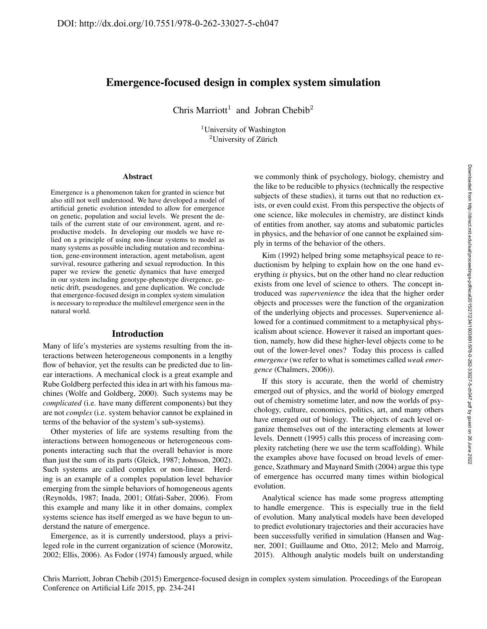# Emergence-focused design in complex system simulation

Chris Marriott<sup>1</sup> and Jobran Chebib<sup>2</sup>

<sup>1</sup>University of Washington  $2$ University of Zürich

#### Abstract

Emergence is a phenomenon taken for granted in science but also still not well understood. We have developed a model of artificial genetic evolution intended to allow for emergence on genetic, population and social levels. We present the details of the current state of our environment, agent, and reproductive models. In developing our models we have relied on a principle of using non-linear systems to model as many systems as possible including mutation and recombination, gene-environment interaction, agent metabolism, agent survival, resource gathering and sexual reproduction. In this paper we review the genetic dynamics that have emerged in our system including genotype-phenotype divergence, genetic drift, pseudogenes, and gene duplication. We conclude that emergence-focused design in complex system simulation is necessary to reproduce the multilevel emergence seen in the natural world.

## Introduction

Many of life's mysteries are systems resulting from the interactions between heterogeneous components in a lengthy flow of behavior, yet the results can be predicted due to linear interactions. A mechanical clock is a great example and Rube Goldberg perfected this idea in art with his famous machines (Wolfe and Goldberg, 2000). Such systems may be *complicated* (i.e. have many different components) but they are not *complex* (i.e. system behavior cannot be explained in terms of the behavior of the system's sub-systems).

Other mysteries of life are systems resulting from the interactions between homogeneous or heterogeneous components interacting such that the overall behavior is more than just the sum of its parts (Gleick, 1987; Johnson, 2002). Such systems are called complex or non-linear. Herding is an example of a complex population level behavior emerging from the simple behaviors of homogeneous agents (Reynolds, 1987; Inada, 2001; Olfati-Saber, 2006). From this example and many like it in other domains, complex systems science has itself emerged as we have begun to understand the nature of emergence.

Emergence, as it is currently understood, plays a privileged role in the current organization of science (Morowitz, 2002; Ellis, 2006). As Fodor (1974) famously argued, while

we commonly think of psychology, biology, chemistry and the like to be reducible to physics (technically the respective subjects of these studies), it turns out that no reduction exists, or even could exist. From this perspective the objects of one science, like molecules in chemistry, are distinct kinds of entities from another, say atoms and subatomic particles in physics, and the behavior of one cannot be explained simply in terms of the behavior of the others.

Kim (1992) helped bring some metaphsyical peace to reductionism by helping to explain how on the one hand everything *is* physics, but on the other hand no clear reduction exists from one level of science to others. The concept introduced was *supervenience* the idea that the higher order objects and processes were the function of the organization of the underlying objects and processes. Supervenience allowed for a continued commitment to a metaphysical physicalism about science. However it raised an important question, namely, how did these higher-level objects come to be out of the lower-level ones? Today this process is called *emergence* (we refer to what is sometimes called *weak emergence* (Chalmers, 2006)).

If this story is accurate, then the world of chemistry emerged out of physics, and the world of biology emerged out of chemistry sometime later, and now the worlds of psychology, culture, economics, politics, art, and many others have emerged out of biology. The objects of each level organize themselves out of the interacting elements at lower levels. Dennett (1995) calls this process of increasing complexity ratcheting (here we use the term scaffolding). While the examples above have focused on broad levels of emergence, Szathmary and Maynard Smith (2004) argue this type of emergence has occurred many times within biological evolution.

Analytical science has made some progress attempting to handle emergence. This is especially true in the field of evolution. Many analytical models have been developed to predict evolutionary trajectories and their accuracies have been successfully verified in simulation (Hansen and Wagner, 2001; Guillaume and Otto, 2012; Melo and Marroig, 2015). Although analytic models built on understanding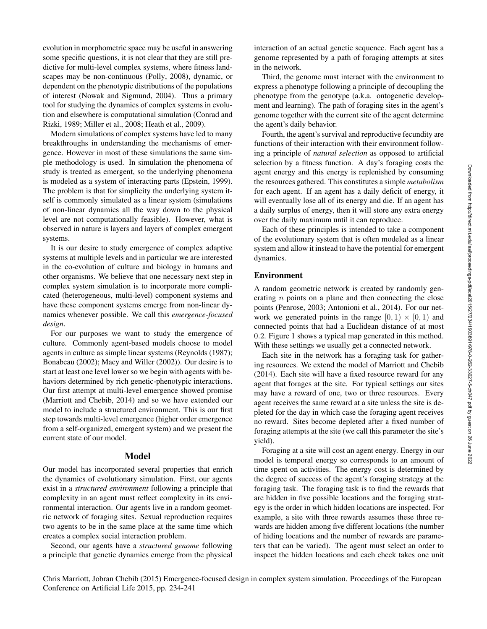evolution in morphometric space may be useful in answering some specific questions, it is not clear that they are still predictive for multi-level complex systems, where fitness landscapes may be non-continuous (Polly, 2008), dynamic, or dependent on the phenotypic distributions of the populations of interest (Nowak and Sigmund, 2004). Thus a primary tool for studying the dynamics of complex systems in evolution and elsewhere is computational simulation (Conrad and Rizki, 1989; Miller et al., 2008; Heath et al., 2009).

Modern simulations of complex systems have led to many breakthroughs in understanding the mechanisms of emergence. However in most of these simulations the same simple methodology is used. In simulation the phenomena of study is treated as emergent, so the underlying phenomena is modeled as a system of interacting parts (Epstein, 1999). The problem is that for simplicity the underlying system itself is commonly simulated as a linear system (simulations of non-linear dynamics all the way down to the physical level are not computationally feasible). However, what is observed in nature is layers and layers of complex emergent systems.

It is our desire to study emergence of complex adaptive systems at multiple levels and in particular we are interested in the co-evolution of culture and biology in humans and other organisms. We believe that one necessary next step in complex system simulation is to incorporate more complicated (heterogeneous, multi-level) component systems and have these component systems emerge from non-linear dynamics whenever possible. We call this *emergence-focused design*.

For our purposes we want to study the emergence of culture. Commonly agent-based models choose to model agents in culture as simple linear systems (Reynolds (1987); Bonabeau (2002); Macy and Willer (2002)). Our desire is to start at least one level lower so we begin with agents with behaviors determined by rich genetic-phenotypic interactions. Our first attempt at multi-level emergence showed promise (Marriott and Chebib, 2014) and so we have extended our model to include a structured environment. This is our first step towards multi-level emergence (higher order emergence from a self-organized, emergent system) and we present the current state of our model.

#### Model

Our model has incorporated several properties that enrich the dynamics of evolutionary simulation. First, our agents exist in a *structured environment* following a principle that complexity in an agent must reflect complexity in its environmental interaction. Our agents live in a random geometric network of foraging sites. Sexual reproduction requires two agents to be in the same place at the same time which creates a complex social interaction problem.

Second, our agents have a *structured genome* following a principle that genetic dynamics emerge from the physical

interaction of an actual genetic sequence. Each agent has a genome represented by a path of foraging attempts at sites in the network.

Third, the genome must interact with the environment to express a phenotype following a principle of decoupling the phenotype from the genotype (a.k.a. ontogenetic development and learning). The path of foraging sites in the agent's genome together with the current site of the agent determine the agent's daily behavior.

Fourth, the agent's survival and reproductive fecundity are functions of their interaction with their environment following a principle of *natural selection* as opposed to artificial selection by a fitness function. A day's foraging costs the agent energy and this energy is replenished by consuming the resources gathered. This constitutes a simple *metabolism* for each agent. If an agent has a daily deficit of energy, it will eventually lose all of its energy and die. If an agent has a daily surplus of energy, then it will store any extra energy over the daily maximum until it can reproduce.

Each of these principles is intended to take a component of the evolutionary system that is often modeled as a linear system and allow it instead to have the potential for emergent dynamics.

## Environment

A random geometric network is created by randomly generating  $n$  points on a plane and then connecting the close points (Penrose, 2003; Antonioni et al., 2014). For our network we generated points in the range  $[0, 1) \times [0, 1)$  and connected points that had a Euclidean distance of at most 0.2. Figure 1 shows a typical map generated in this method. With these settings we usually get a connected network.

Each site in the network has a foraging task for gathering resources. We extend the model of Marriott and Chebib (2014). Each site will have a fixed resource reward for any agent that forages at the site. For typical settings our sites may have a reward of one, two or three resources. Every agent receives the same reward at a site unless the site is depleted for the day in which case the foraging agent receives no reward. Sites become depleted after a fixed number of foraging attempts at the site (we call this parameter the site's yield).

Foraging at a site will cost an agent energy. Energy in our model is temporal energy so corresponds to an amount of time spent on activities. The energy cost is determined by the degree of success of the agent's foraging strategy at the foraging task. The foraging task is to find the rewards that are hidden in five possible locations and the foraging strategy is the order in which hidden locations are inspected. For example, a site with three rewards assumes these three rewards are hidden among five different locations (the number of hiding locations and the number of rewards are parameters that can be varied). The agent must select an order to inspect the hidden locations and each check takes one unit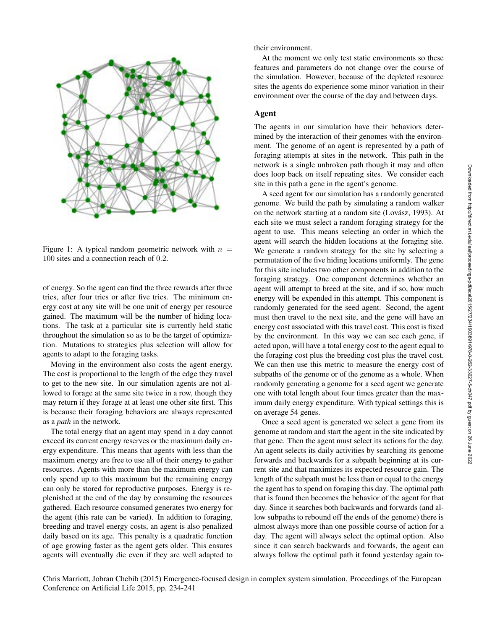

Figure 1: A typical random geometric network with  $n =$ 100 sites and a connection reach of 0.2.

of energy. So the agent can find the three rewards after three tries, after four tries or after five tries. The minimum energy cost at any site will be one unit of energy per resource gained. The maximum will be the number of hiding locations. The task at a particular site is currently held static throughout the simulation so as to be the target of optimization. Mutations to strategies plus selection will allow for agents to adapt to the foraging tasks.

Moving in the environment also costs the agent energy. The cost is proportional to the length of the edge they travel to get to the new site. In our simulation agents are not allowed to forage at the same site twice in a row, though they may return if they forage at at least one other site first. This is because their foraging behaviors are always represented as a *path* in the network.

The total energy that an agent may spend in a day cannot exceed its current energy reserves or the maximum daily energy expenditure. This means that agents with less than the maximum energy are free to use all of their energy to gather resources. Agents with more than the maximum energy can only spend up to this maximum but the remaining energy can only be stored for reproductive purposes. Energy is replenished at the end of the day by consuming the resources gathered. Each resource consumed generates two energy for the agent (this rate can be varied). In addition to foraging, breeding and travel energy costs, an agent is also penalized daily based on its age. This penalty is a quadratic function of age growing faster as the agent gets older. This ensures agents will eventually die even if they are well adapted to

their environment.

At the moment we only test static environments so these features and parameters do not change over the course of the simulation. However, because of the depleted resource sites the agents do experience some minor variation in their environment over the course of the day and between days.

# Agent

The agents in our simulation have their behaviors determined by the interaction of their genomes with the environment. The genome of an agent is represented by a path of foraging attempts at sites in the network. This path in the network is a single unbroken path though it may and often does loop back on itself repeating sites. We consider each site in this path a gene in the agent's genome.

A seed agent for our simulation has a randomly generated genome. We build the path by simulating a random walker on the network starting at a random site (Lovász, 1993). At each site we must select a random foraging strategy for the agent to use. This means selecting an order in which the agent will search the hidden locations at the foraging site. We generate a random strategy for the site by selecting a permutation of the five hiding locations uniformly. The gene for this site includes two other components in addition to the foraging strategy. One component determines whether an agent will attempt to breed at the site, and if so, how much energy will be expended in this attempt. This component is randomly generated for the seed agent. Second, the agent must then travel to the next site, and the gene will have an energy cost associated with this travel cost. This cost is fixed by the environment. In this way we can see each gene, if acted upon, will have a total energy cost to the agent equal to the foraging cost plus the breeding cost plus the travel cost. We can then use this metric to measure the energy cost of subpaths of the genome or of the genome as a whole. When randomly generating a genome for a seed agent we generate one with total length about four times greater than the maximum daily energy expenditure. With typical settings this is on average 54 genes.

Once a seed agent is generated we select a gene from its genome at random and start the agent in the site indicated by that gene. Then the agent must select its actions for the day. An agent selects its daily activities by searching its genome forwards and backwards for a subpath beginning at its current site and that maximizes its expected resource gain. The length of the subpath must be less than or equal to the energy the agent has to spend on foraging this day. The optimal path that is found then becomes the behavior of the agent for that day. Since it searches both backwards and forwards (and allow subpaths to rebound off the ends of the genome) there is almost always more than one possible course of action for a day. The agent will always select the optimal option. Also since it can search backwards and forwards, the agent can always follow the optimal path it found yesterday again to-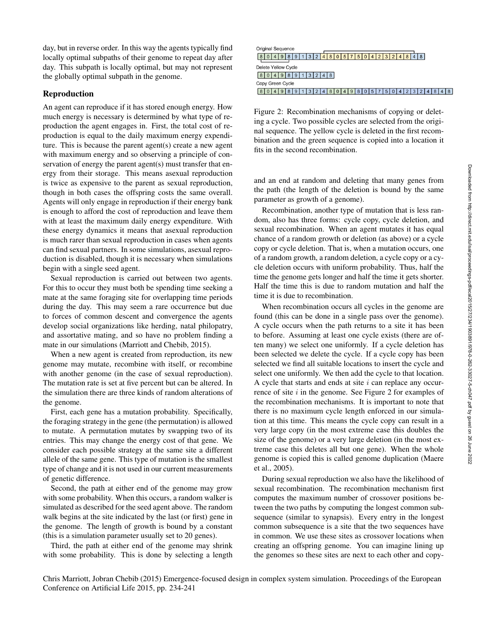day, but in reverse order. In this way the agents typically find locally optimal subpaths of their genome to repeat day after day. This subpath is locally optimal, but may not represent the globally optimal subpath in the genome.

# Reproduction

An agent can reproduce if it has stored enough energy. How much energy is necessary is determined by what type of reproduction the agent engages in. First, the total cost of reproduction is equal to the daily maximum energy expenditure. This is because the parent agent(s) create a new agent with maximum energy and so observing a principle of conservation of energy the parent agent(s) must transfer that energy from their storage. This means asexual reproduction is twice as expensive to the parent as sexual reproduction, though in both cases the offspring costs the same overall. Agents will only engage in reproduction if their energy bank is enough to afford the cost of reproduction and leave them with at least the maximum daily energy expenditure. With these energy dynamics it means that asexual reproduction is much rarer than sexual reproduction in cases when agents can find sexual partners. In some simulations, asexual reproduction is disabled, though it is necessary when simulations begin with a single seed agent.

Sexual reproduction is carried out between two agents. For this to occur they must both be spending time seeking a mate at the same foraging site for overlapping time periods during the day. This may seem a rare occurrence but due to forces of common descent and convergence the agents develop social organizations like herding, natal philopatry, and assortative mating, and so have no problem finding a mate in our simulations (Marriott and Chebib, 2015).

When a new agent is created from reproduction, its new genome may mutate, recombine with itself, or recombine with another genome (in the case of sexual reproduction). The mutation rate is set at five percent but can be altered. In the simulation there are three kinds of random alterations of the genome.

First, each gene has a mutation probability. Specifically, the foraging strategy in the gene (the permutation) is allowed to mutate. A permutation mutates by swapping two of its entries. This may change the energy cost of that gene. We consider each possible strategy at the same site a different allele of the same gene. This type of mutation is the smallest type of change and it is not used in our current measurements of genetic difference.

Second, the path at either end of the genome may grow with some probability. When this occurs, a random walker is simulated as described for the seed agent above. The random walk begins at the site indicated by the last (or first) gene in the genome. The length of growth is bound by a constant (this is a simulation parameter usually set to 20 genes).

Third, the path at either end of the genome may shrink with some probability. This is done by selecting a length

| Original Sequence   |   |   |   |
|---------------------|---|---|---|
| 8                   |   | 8 |   |
| Delete Yellow Cycle |   |   |   |
| 8<br>9              | 8 |   |   |
| Copy Green Cycle    |   |   |   |
| g                   |   | r | 8 |

Figure 2: Recombination mechanisms of copying or deleting a cycle. Two possible cycles are selected from the original sequence. The yellow cycle is deleted in the first recombination and the green sequence is copied into a location it fits in the second recombination.

and an end at random and deleting that many genes from the path (the length of the deletion is bound by the same parameter as growth of a genome).

Recombination, another type of mutation that is less random, also has three forms: cycle copy, cycle deletion, and sexual recombination. When an agent mutates it has equal chance of a random growth or deletion (as above) or a cycle copy or cycle deletion. That is, when a mutation occurs, one of a random growth, a random deletion, a cycle copy or a cycle deletion occurs with uniform probability. Thus, half the time the genome gets longer and half the time it gets shorter. Half the time this is due to random mutation and half the time it is due to recombination.

When recombination occurs all cycles in the genome are found (this can be done in a single pass over the genome). A cycle occurs when the path returns to a site it has been to before. Assuming at least one cycle exists (there are often many) we select one uniformly. If a cycle deletion has been selected we delete the cycle. If a cycle copy has been selected we find all suitable locations to insert the cycle and select one uniformly. We then add the cycle to that location. A cycle that starts and ends at site  $i$  can replace any occurrence of site  $i$  in the genome. See Figure 2 for examples of the recombination mechanisms. It is important to note that there is no maximum cycle length enforced in our simulation at this time. This means the cycle copy can result in a very large copy (in the most extreme case this doubles the size of the genome) or a very large deletion (in the most extreme case this deletes all but one gene). When the whole genome is copied this is called genome duplication (Maere et al., 2005).

During sexual reproduction we also have the likelihood of sexual recombination. The recombination mechanism first computes the maximum number of crossover positions between the two paths by computing the longest common subsequence (similar to synapsis). Every entry in the longest common subsequence is a site that the two sequences have in common. We use these sites as crossover locations when creating an offspring genome. You can imagine lining up the genomes so these sites are next to each other and copy-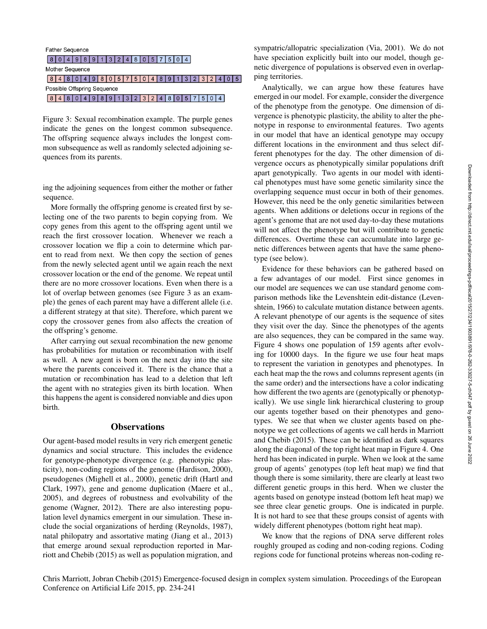# **Father Sequence**  $80498913248057504$ Mother Sequence  $8 | 4 | 8 | 0 | 4 | 9 | 8 | 0 | 5 | 7 | 5 | 0 | 4 | 8 | 9 | 1 | 3 | 2 | 3 | 2 | 4 | 0 | 5$ Possible Offspring Sequence  $8 | 4 | 8 | 0 | 4 | 9 | 8 | 9 | 1 | 3 | 2 | 3 | 2 | 4 | 8 | 0 | 5 | 7 | 5 | 0 | 4$

Figure 3: Sexual recombination example. The purple genes indicate the genes on the longest common subsequence. The offspring sequence always includes the longest common subsequence as well as randomly selected adjoining sequences from its parents.

ing the adjoining sequences from either the mother or father sequence.

More formally the offspring genome is created first by selecting one of the two parents to begin copying from. We copy genes from this agent to the offspring agent until we reach the first crossover location. Whenever we reach a crossover location we flip a coin to determine which parent to read from next. We then copy the section of genes from the newly selected agent until we again reach the next crossover location or the end of the genome. We repeat until there are no more crossover locations. Even when there is a lot of overlap between genomes (see Figure 3 as an example) the genes of each parent may have a different allele (i.e. a different strategy at that site). Therefore, which parent we copy the crossover genes from also affects the creation of the offspring's genome.

After carrying out sexual recombination the new genome has probabilities for mutation or recombination with itself as well. A new agent is born on the next day into the site where the parents conceived it. There is the chance that a mutation or recombination has lead to a deletion that left the agent with no strategies given its birth location. When this happens the agent is considered nonviable and dies upon birth.

## **Observations**

Our agent-based model results in very rich emergent genetic dynamics and social structure. This includes the evidence for genotype-phenotype divergence (e.g. phenotypic plasticity), non-coding regions of the genome (Hardison, 2000), pseudogenes (Mighell et al., 2000), genetic drift (Hartl and Clark, 1997), gene and genome duplication (Maere et al., 2005), and degrees of robustness and evolvability of the genome (Wagner, 2012). There are also interesting population level dynamics emergent in our simulation. These include the social organizations of herding (Reynolds, 1987), natal philopatry and assortative mating (Jiang et al., 2013) that emerge around sexual reproduction reported in Marriott and Chebib (2015) as well as population migration, and

sympatric/allopatric specialization (Via, 2001). We do not have speciation explicitly built into our model, though genetic divergence of populations is observed even in overlapping territories.

Analytically, we can argue how these features have emerged in our model. For example, consider the divergence of the phenotype from the genotype. One dimension of divergence is phenotypic plasticity, the ability to alter the phenotype in response to environmental features. Two agents in our model that have an identical genotype may occupy different locations in the environment and thus select different phenotypes for the day. The other dimension of divergence occurs as phenotypically similar populations drift apart genotypically. Two agents in our model with identical phenotypes must have some genetic similarity since the overlapping sequence must occur in both of their genomes. However, this need be the only genetic similarities between agents. When additions or deletions occur in regions of the agent's genome that are not used day-to-day these mutations will not affect the phenotype but will contribute to genetic differences. Overtime these can accumulate into large genetic differences between agents that have the same phenotype (see below).

Evidence for these behaviors can be gathered based on a few advantages of our model. First since genomes in our model are sequences we can use standard genome comparison methods like the Levenshtein edit-distance (Levenshtein, 1966) to calculate mutation distance between agents. A relevant phenotype of our agents is the sequence of sites they visit over the day. Since the phenotypes of the agents are also sequences, they can be compared in the same way. Figure 4 shows one population of 159 agents after evolving for 10000 days. In the figure we use four heat maps to represent the variation in genotypes and phenotypes. In each heat map the the rows and columns represent agents (in the same order) and the intersections have a color indicating how different the two agents are (genotypically or phenotypically). We use single link hierarchical clustering to group our agents together based on their phenotypes and genotypes. We see that when we cluster agents based on phenotype we get collections of agents we call herds in Marriott and Chebib (2015). These can be identified as dark squares along the diagonal of the top right heat map in Figure 4. One herd has been indicated in purple. When we look at the same group of agents' genotypes (top left heat map) we find that though there is some similarity, there are clearly at least two different genetic groups in this herd. When we cluster the agents based on genotype instead (bottom left heat map) we see three clear genetic groups. One is indicated in purple. It is not hard to see that these groups consist of agents with widely different phenotypes (bottom right heat map).

We know that the regions of DNA serve different roles roughly grouped as coding and non-coding regions. Coding regions code for functional proteins whereas non-coding re-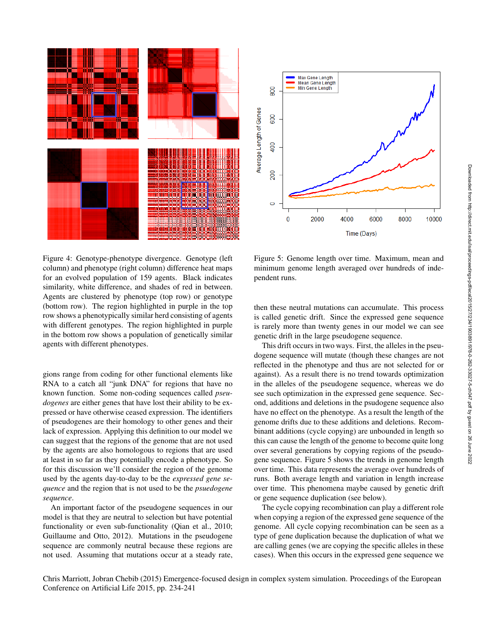



Figure 4: Genotype-phenotype divergence. Genotype (left column) and phenotype (right column) difference heat maps for an evolved population of 159 agents. Black indicates similarity, white difference, and shades of red in between. Agents are clustered by phenotype (top row) or genotype (bottom row). The region highlighted in purple in the top row shows a phenotypically similar herd consisting of agents with different genotypes. The region highlighted in purple in the bottom row shows a population of genetically similar agents with different phenotypes.

gions range from coding for other functional elements like RNA to a catch all "junk DNA" for regions that have no known function. Some non-coding sequences called *pseudogenes* are either genes that have lost their ability to be expressed or have otherwise ceased expression. The identifiers of pseudogenes are their homology to other genes and their lack of expression. Applying this definition to our model we can suggest that the regions of the genome that are not used by the agents are also homologous to regions that are used at least in so far as they potentially encode a phenotype. So for this discussion we'll consider the region of the genome used by the agents day-to-day to be the *expressed gene sequence* and the region that is not used to be the *psuedogene sequence*.

An important factor of the pseudogene sequences in our model is that they are neutral to selection but have potential functionality or even sub-functionality (Qian et al., 2010; Guillaume and Otto, 2012). Mutations in the pseudogene sequence are commonly neutral because these regions are not used. Assuming that mutations occur at a steady rate,

Figure 5: Genome length over time. Maximum, mean and minimum genome length averaged over hundreds of independent runs.

then these neutral mutations can accumulate. This process is called genetic drift. Since the expressed gene sequence is rarely more than twenty genes in our model we can see genetic drift in the large pseudogene sequence.

This drift occurs in two ways. First, the alleles in the pseudogene sequence will mutate (though these changes are not reflected in the phenotype and thus are not selected for or against). As a result there is no trend towards optimization in the alleles of the pseudogene sequence, whereas we do see such optimization in the expressed gene sequence. Second, additions and deletions in the psudogene sequence also have no effect on the phenotype. As a result the length of the genome drifts due to these additions and deletions. Recombinant additions (cycle copying) are unbounded in length so this can cause the length of the genome to become quite long over several generations by copying regions of the pseudogene sequence. Figure 5 shows the trends in genome length over time. This data represents the average over hundreds of runs. Both average length and variation in length increase over time. This phenomena maybe caused by genetic drift or gene sequence duplication (see below).

The cycle copying recombination can play a different role when copying a region of the expressed gene sequence of the genome. All cycle copying recombination can be seen as a type of gene duplication because the duplication of what we are calling genes (we are copying the specific alleles in these cases). When this occurs in the expressed gene sequence we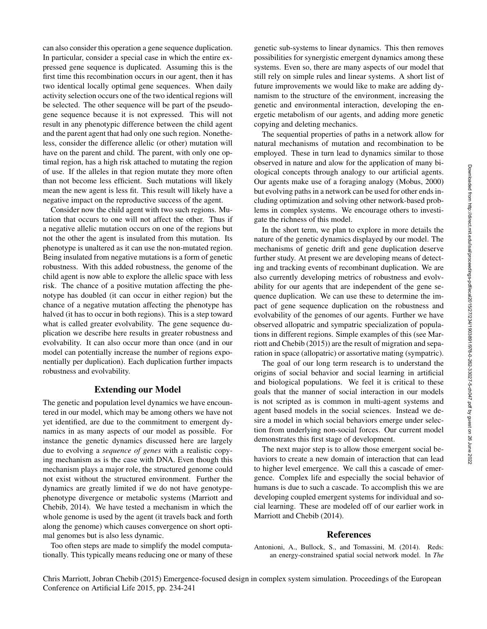can also consider this operation a gene sequence duplication. In particular, consider a special case in which the entire expressed gene sequence is duplicated. Assuming this is the first time this recombination occurs in our agent, then it has two identical locally optimal gene sequences. When daily activity selection occurs one of the two identical regions will be selected. The other sequence will be part of the pseudogene sequence because it is not expressed. This will not result in any phenotypic difference between the child agent and the parent agent that had only one such region. Nonetheless, consider the difference allelic (or other) mutation will have on the parent and child. The parent, with only one optimal region, has a high risk attached to mutating the region of use. If the alleles in that region mutate they more often than not become less efficient. Such mutations will likely mean the new agent is less fit. This result will likely have a negative impact on the reproductive success of the agent.

Consider now the child agent with two such regions. Mutation that occurs to one will not affect the other. Thus if a negative allelic mutation occurs on one of the regions but not the other the agent is insulated from this mutation. Its phenotype is unaltered as it can use the non-mutated region. Being insulated from negative mutations is a form of genetic robustness. With this added robustness, the genome of the child agent is now able to explore the allelic space with less risk. The chance of a positive mutation affecting the phenotype has doubled (it can occur in either region) but the chance of a negative mutation affecting the phenotype has halved (it has to occur in both regions). This is a step toward what is called greater evolvability. The gene sequence duplication we describe here results in greater robustness and evolvability. It can also occur more than once (and in our model can potentially increase the number of regions exponentially per duplication). Each duplication further impacts robustness and evolvability.

## Extending our Model

The genetic and population level dynamics we have encountered in our model, which may be among others we have not yet identified, are due to the commitment to emergent dynamics in as many aspects of our model as possible. For instance the genetic dynamics discussed here are largely due to evolving a *sequence of genes* with a realistic copying mechanism as is the case with DNA. Even though this mechanism plays a major role, the structured genome could not exist without the structured environment. Further the dynamics are greatly limited if we do not have genotypephenotype divergence or metabolic systems (Marriott and Chebib, 2014). We have tested a mechanism in which the whole genome is used by the agent (it travels back and forth along the genome) which causes convergence on short optimal genomes but is also less dynamic.

Too often steps are made to simplify the model computationally. This typically means reducing one or many of these genetic sub-systems to linear dynamics. This then removes possibilities for synergistic emergent dynamics among these systems. Even so, there are many aspects of our model that still rely on simple rules and linear systems. A short list of future improvements we would like to make are adding dynamism to the structure of the environment, increasing the genetic and environmental interaction, developing the energetic metabolism of our agents, and adding more genetic copying and deleting mechanics.

The sequential properties of paths in a network allow for natural mechanisms of mutation and recombination to be employed. These in turn lead to dynamics similar to those observed in nature and alow for the application of many biological concepts through analogy to our artificial agents. Our agents make use of a foraging analogy (Mobus, 2000) but evolving paths in a network can be used for other ends including optimization and solving other network-based problems in complex systems. We encourage others to investigate the richness of this model.

In the short term, we plan to explore in more details the nature of the genetic dynamics displayed by our model. The mechanisms of genetic drift and gene duplication deserve further study. At present we are developing means of detecting and tracking events of recombinant duplication. We are also currently developing metrics of robustness and evolvability for our agents that are independent of the gene sequence duplication. We can use these to determine the impact of gene sequence duplication on the robustness and evolvability of the genomes of our agents. Further we have observed allopatric and sympatric specialization of populations in different regions. Simple examples of this (see Marriott and Chebib (2015)) are the result of migration and separation in space (allopatric) or assortative mating (sympatric).

The goal of our long term research is to understand the origins of social behavior and social learning in artificial and biological populations. We feel it is critical to these goals that the manner of social interaction in our models is not scripted as is common in multi-agent systems and agent based models in the social sciences. Instead we desire a model in which social behaviors emerge under selection from underlying non-social forces. Our current model demonstrates this first stage of development.

The next major step is to allow those emergent social behaviors to create a new domain of interaction that can lead to higher level emergence. We call this a cascade of emergence. Complex life and especially the social behavior of humans is due to such a cascade. To accomplish this we are developing coupled emergent systems for individual and social learning. These are modeled off of our earlier work in Marriott and Chebib (2014).

#### References

Antonioni, A., Bullock, S., and Tomassini, M. (2014). Reds: an energy-constrained spatial social network model. In *The*